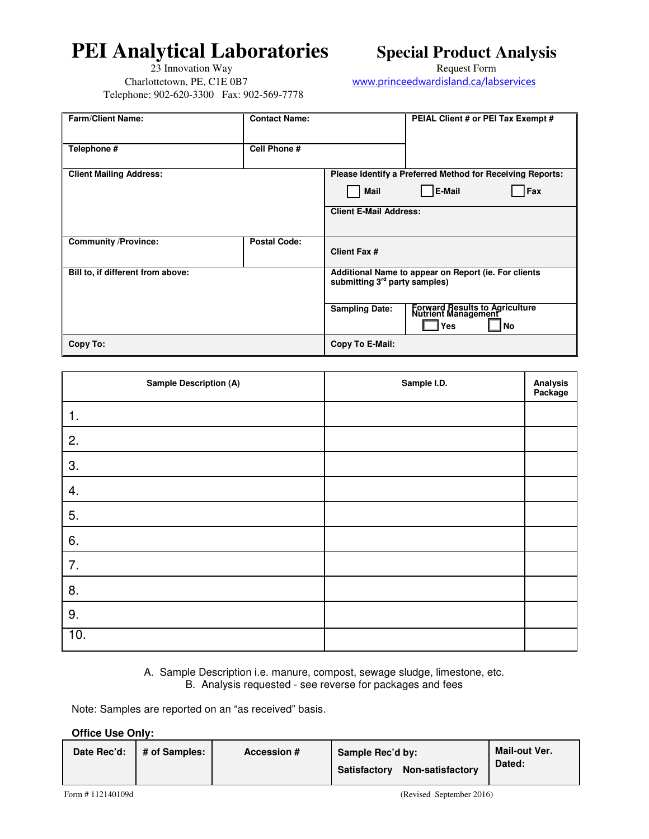## **PEI Analytical Laboratories Special Product Analysis**

23 Innovation Way **Request Form**  Charlottetown, PE, C1E 0B7 www.princeedwardisland.ca/labservices Telephone: 902-620-3300 Fax: 902-569-7778

| <b>Farm/Client Name:</b>          | <b>Contact Name:</b> |                                           | PEIAL Client # or PEI Tax Exempt #                                          |  |  |
|-----------------------------------|----------------------|-------------------------------------------|-----------------------------------------------------------------------------|--|--|
| Telephone #                       | Cell Phone #         |                                           |                                                                             |  |  |
| <b>Client Mailing Address:</b>    |                      |                                           | Please Identify a Preferred Method for Receiving Reports:                   |  |  |
|                                   |                      | <b>Mail</b>                               | <b>E-Mail</b><br>Fax                                                        |  |  |
|                                   |                      | <b>Client E-Mail Address:</b>             |                                                                             |  |  |
| <b>Community /Province:</b>       | <b>Postal Code:</b>  | <b>Client Fax #</b>                       |                                                                             |  |  |
| Bill to, if different from above: |                      | submitting 3 <sup>rd</sup> party samples) | Additional Name to appear on Report (ie. For clients                        |  |  |
|                                   |                      | <b>Sampling Date:</b>                     | <b>Forward Results to Agriculture</b><br>Nutrient Management<br>Yes<br>l No |  |  |
| Copy To:                          |                      | Copy To E-Mail:                           |                                                                             |  |  |

| <b>Sample Description (A)</b> | Sample I.D. | Analysis<br>Package |
|-------------------------------|-------------|---------------------|
| 1.                            |             |                     |
| 2.                            |             |                     |
| 3.                            |             |                     |
| 4.                            |             |                     |
| 5.                            |             |                     |
| 6.                            |             |                     |
| 7.                            |             |                     |
| 8.                            |             |                     |
| 9.                            |             |                     |
| 10.                           |             |                     |

A. Sample Description i.e. manure, compost, sewage sludge, limestone, etc. B. Analysis requested - see reverse for packages and fees

Note: Samples are reported on an "as received" basis.

## **Office Use Only:**

| Date Rec'd: | # of Samples: | <b>Accession #</b> | Sample Rec'd by:<br>Non-satisfactory<br>Satisfactory | Mail-out Ver.<br>Dated: |
|-------------|---------------|--------------------|------------------------------------------------------|-------------------------|
|             |               |                    |                                                      |                         |